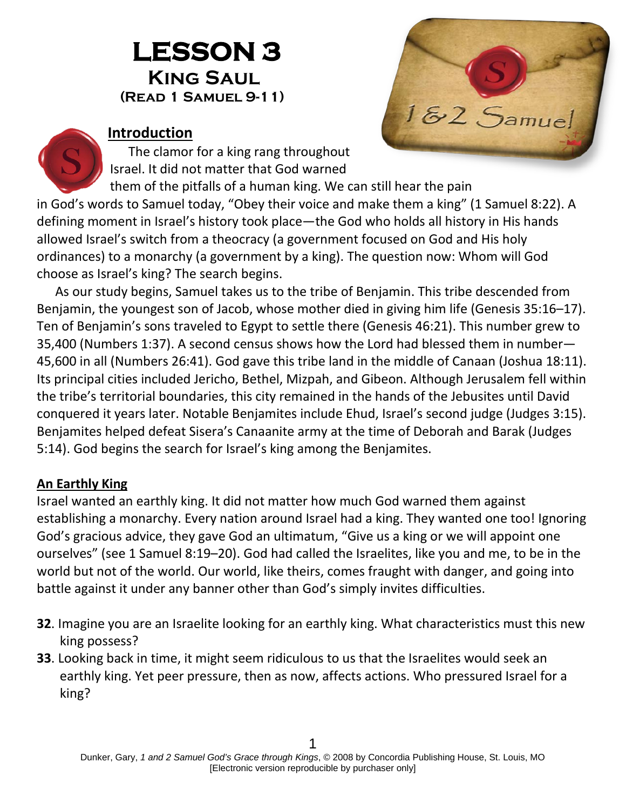# **LESSON 3 King Saul(Read 1 Samuel 9-11)**



#### **Introduction**

The clamor for a king rang throughout Israel. It did not matter that God warned

them of the pitfalls of a human king. We can still hear the pain in God's words to Samuel today, "Obey their voice and make them a king" (1 Samuel 8:22). A defining moment in Israel's history took place—the God who holds all history in His hands allowed Israel's switch from a theocracy (a government focused on God and His holy ordinances) to a monarchy (a government by a king). The question now: Whom will God choose as Israel's king? The search begins.

As our study begins, Samuel takes us to the tribe of Benjamin. This tribe descended from Benjamin, the youngest son of Jacob, whose mother died in giving him life (Genesis 35:16–17). Ten of Benjamin's sons traveled to Egypt to settle there (Genesis 46:21). This number grew to 35,400 (Numbers 1:37). A second census shows how the Lord had blessed them in number— 45,600 in all (Numbers 26:41). God gave this tribe land in the middle of Canaan (Joshua 18:11). Its principal cities included Jericho, Bethel, Mizpah, and Gibeon. Although Jerusalem fell within the tribe's territorial boundaries, this city remained in the hands of the Jebusites until David conquered it years later. Notable Benjamites include Ehud, Israel's second judge (Judges 3:15). Benjamites helped defeat Sisera's Canaanite army at the time of Deborah and Barak (Judges 5:14). God begins the search for Israel's king among the Benjamites.

## **An Earthly King**

Israel wanted an earthly king. It did not matter how much God warned them against establishing a monarchy. Every nation around Israel had a king. They wanted one too! Ignoring God's gracious advice, they gave God an ultimatum, "Give us a king or we will appoint one ourselves" (see 1 Samuel 8:19–20). God had called the Israelites, like you and me, to be in the world but not of the world. Our world, like theirs, comes fraught with danger, and going into battle against it under any banner other than God's simply invites difficulties.

- **32**. Imagine you are an Israelite looking for an earthly king. What characteristics must this new king possess?
- **33**. Looking back in time, it might seem ridiculous to us that the Israelites would seek an earthly king. Yet peer pressure, then as now, affects actions. Who pressured Israel for a king?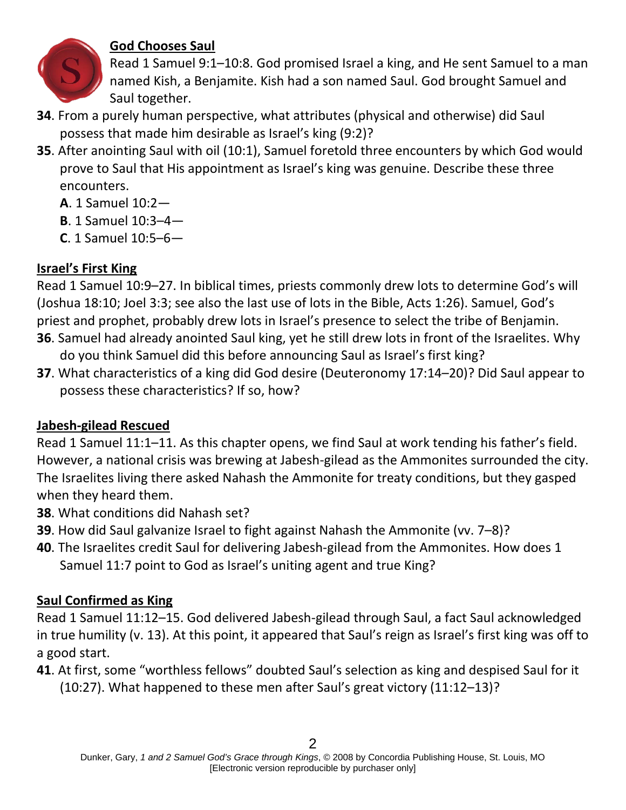

## **God Chooses Saul**

Read 1 Samuel 9:1–10:8. God promised Israel a king, and He sent Samuel to a man named Kish, a Benjamite. Kish had a son named Saul. God brought Samuel and Saul together.

- **34**. From a purely human perspective, what attributes (physical and otherwise) did Saul possess that made him desirable as Israel's king (9:2)?
- **35**. After anointing Saul with oil (10:1), Samuel foretold three encounters by which God would prove to Saul that His appointment as Israel's king was genuine. Describe these three encounters.
	- **A**. 1 Samuel 10:2—
	- **B**. 1 Samuel 10:3–4—
	- **C**. 1 Samuel 10:5–6—

## **Israel's First King**

Read 1 Samuel 10:9–27. In biblical times, priests commonly drew lots to determine God's will (Joshua 18:10; Joel 3:3; see also the last use of lots in the Bible, Acts 1:26). Samuel, God's priest and prophet, probably drew lots in Israel's presence to select the tribe of Benjamin.

- **36**. Samuel had already anointed Saul king, yet he still drew lots in front of the Israelites. Why do you think Samuel did this before announcing Saul as Israel's first king?
- **37**. What characteristics of a king did God desire (Deuteronomy 17:14–20)? Did Saul appear to possess these characteristics? If so, how?

# **Jabesh-gilead Rescued**

Read 1 Samuel 11:1–11. As this chapter opens, we find Saul at work tending his father's field. However, a national crisis was brewing at Jabesh-gilead as the Ammonites surrounded the city. The Israelites living there asked Nahash the Ammonite for treaty conditions, but they gasped when they heard them.

- **38**. What conditions did Nahash set?
- **39**. How did Saul galvanize Israel to fight against Nahash the Ammonite (vv. 7–8)?
- **40**. The Israelites credit Saul for delivering Jabesh-gilead from the Ammonites. How does 1 Samuel 11:7 point to God as Israel's uniting agent and true King?

# **Saul Confirmed as King**

Read 1 Samuel 11:12–15. God delivered Jabesh-gilead through Saul, a fact Saul acknowledged in true humility (v. 13). At this point, it appeared that Saul's reign as Israel's first king was off to a good start.

**41**. At first, some "worthless fellows" doubted Saul's selection as king and despised Saul for it (10:27). What happened to these men after Saul's great victory (11:12–13)?